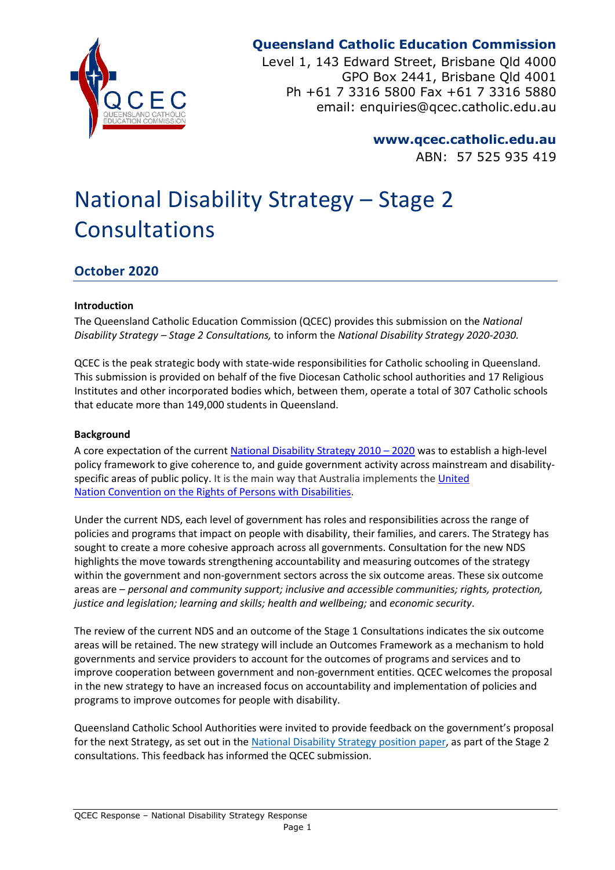

# **Queensland Catholic Education Commission**

Level 1, 143 Edward Street, Brisbane Qld 4000 GPO Box 2441, Brisbane Qld 4001 Ph +61 7 3316 5800 Fax +61 7 3316 5880 email: enquiries@qcec.catholic.edu.au

> **www.qcec.catholic.edu.au** ABN: 57 525 935 419

# National Disability Strategy – Stage 2 Consultations

## **October 2020**

## **Introduction**

The Queensland Catholic Education Commission (QCEC) provides this submission on the *National Disability Strategy – Stage 2 Consultations,* to inform the *National Disability Strategy 2020-2030.*

QCEC is the peak strategic body with state-wide responsibilities for Catholic schooling in Queensland. This submission is provided on behalf of the five Diocesan Catholic school authorities and 17 Religious Institutes and other incorporated bodies which, between them, operate a total of 307 Catholic schools that educate more than 149,000 students in Queensland.

#### **Background**

A core expectation of the current [National Disability Strategy](https://www.dss.gov.au/sites/default/files/documents/05_2012/national_disability_strategy_2010_2020.pdf) 2010 – 2020 was to establish a high-level policy framework to give coherence to, and guide government activity across mainstream and disabilityspecific areas of public policy. It is the main way that Australia implements the United Nation [Convention on the Rights of Persons with Disabilities.](https://www.un.org/development/desa/disabilities/convention-on-the-rights-of-persons-with-disabilities.html)

Under the current NDS, each level of government has roles and responsibilities across the range of policies and programs that impact on people with disability, their families, and carers. The Strategy has sought to create a more cohesive approach across all governments. Consultation for the new NDS highlights the move towards strengthening accountability and measuring outcomes of the strategy within the government and non-government sectors across the six outcome areas. These six outcome areas are – *personal and community support; inclusive and accessible communities; rights, protection, justice and legislation; learning and skills; health and wellbeing;* and *economic security*.

The review of the current NDS and an outcome of the Stage 1 Consultations indicates the six outcome areas will be retained. The new strategy will include an Outcomes Framework as a mechanism to hold governments and service providers to account for the outcomes of programs and services and to improve cooperation between government and non-government entities. QCEC welcomes the proposal in the new strategy to have an increased focus on accountability and implementation of policies and programs to improve outcomes for people with disability.

Queensland Catholic School Authorities were invited to provide feedback on the government's proposal for the next Strategy, as set out in the [National Disability Strategy position paper,](https://engage.dss.gov.au/?page_id=13091) as part of the Stage 2 consultations. This feedback has informed the QCEC submission.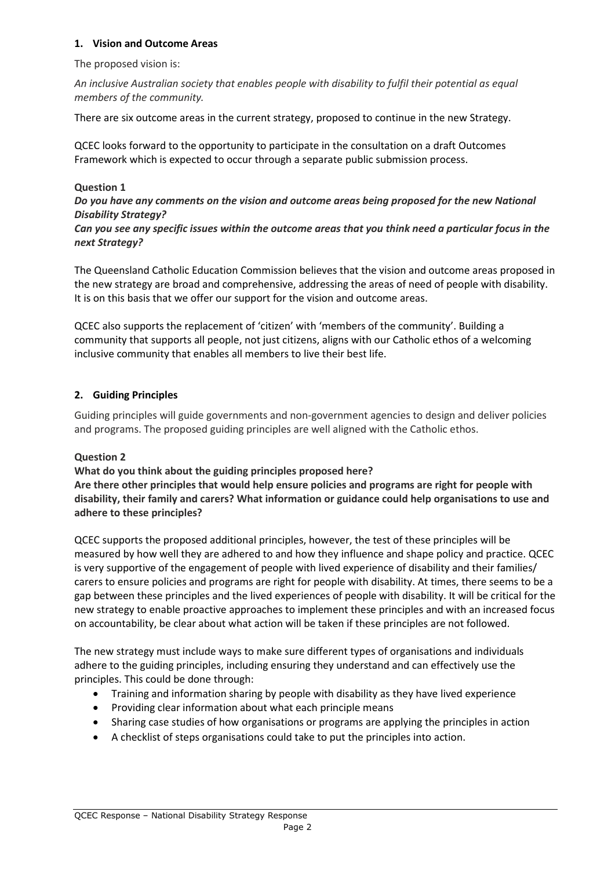## **1. Vision and Outcome Areas**

The proposed vision is:

*An inclusive Australian society that enables people with disability to fulfil their potential as equal members of the community.*

There are six outcome areas in the current strategy, proposed to continue in the new Strategy.

QCEC looks forward to the opportunity to participate in the consultation on a draft Outcomes Framework which is expected to occur through a separate public submission process.

## **Question 1**

*Do you have any comments on the vision and outcome areas being proposed for the new National Disability Strategy?*

*Can you see any specific issues within the outcome areas that you think need a particular focus in the next Strategy?*

The Queensland Catholic Education Commission believes that the vision and outcome areas proposed in the new strategy are broad and comprehensive, addressing the areas of need of people with disability. It is on this basis that we offer our support for the vision and outcome areas.

QCEC also supports the replacement of 'citizen' with 'members of the community'. Building a community that supports all people, not just citizens, aligns with our Catholic ethos of a welcoming inclusive community that enables all members to live their best life.

## **2. Guiding Principles**

Guiding principles will guide governments and non-government agencies to design and deliver policies and programs. The proposed guiding principles are well aligned with the Catholic ethos.

## **Question 2**

**What do you think about the guiding principles proposed here? Are there other principles that would help ensure policies and programs are right for people with disability, their family and carers? What information or guidance could help organisations to use and adhere to these principles?**

QCEC supports the proposed additional principles, however, the test of these principles will be measured by how well they are adhered to and how they influence and shape policy and practice. QCEC is very supportive of the engagement of people with lived experience of disability and their families/ carers to ensure policies and programs are right for people with disability. At times, there seems to be a gap between these principles and the lived experiences of people with disability. It will be critical for the new strategy to enable proactive approaches to implement these principles and with an increased focus on accountability, be clear about what action will be taken if these principles are not followed.

The new strategy must include ways to make sure different types of organisations and individuals adhere to the guiding principles, including ensuring they understand and can effectively use the principles. This could be done through:

- Training and information sharing by people with disability as they have lived experience
- Providing clear information about what each principle means
- Sharing case studies of how organisations or programs are applying the principles in action
- A checklist of steps organisations could take to put the principles into action.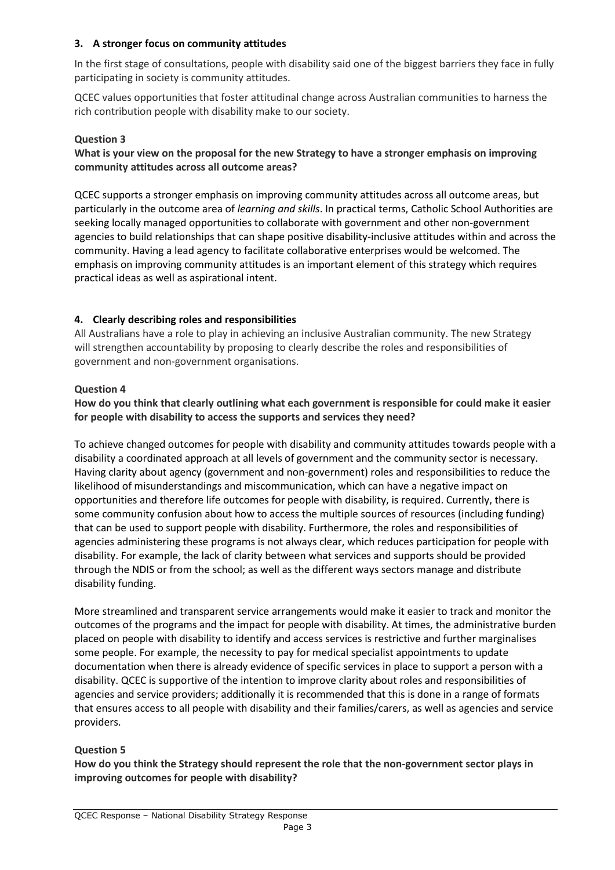## **3. A stronger focus on community attitudes**

In the first stage of consultations, people with disability said one of the biggest barriers they face in fully participating in society is community attitudes.

QCEC values opportunities that foster attitudinal change across Australian communities to harness the rich contribution people with disability make to our society.

## **Question 3**

## **What is your view on the proposal for the new Strategy to have a stronger emphasis on improving community attitudes across all outcome areas?**

QCEC supports a stronger emphasis on improving community attitudes across all outcome areas, but particularly in the outcome area of *learning and skills*. In practical terms, Catholic School Authorities are seeking locally managed opportunities to collaborate with government and other non-government agencies to build relationships that can shape positive disability-inclusive attitudes within and across the community. Having a lead agency to facilitate collaborative enterprises would be welcomed. The emphasis on improving community attitudes is an important element of this strategy which requires practical ideas as well as aspirational intent.

## **4. Clearly describing roles and responsibilities**

All Australians have a role to play in achieving an inclusive Australian community. The new Strategy will strengthen accountability by proposing to clearly describe the roles and responsibilities of government and non-government organisations.

## **Question 4**

**How do you think that clearly outlining what each government is responsible for could make it easier for people with disability to access the supports and services they need?**

To achieve changed outcomes for people with disability and community attitudes towards people with a disability a coordinated approach at all levels of government and the community sector is necessary. Having clarity about agency (government and non-government) roles and responsibilities to reduce the likelihood of misunderstandings and miscommunication, which can have a negative impact on opportunities and therefore life outcomes for people with disability, is required. Currently, there is some community confusion about how to access the multiple sources of resources (including funding) that can be used to support people with disability. Furthermore, the roles and responsibilities of agencies administering these programs is not always clear, which reduces participation for people with disability. For example, the lack of clarity between what services and supports should be provided through the NDIS or from the school; as well as the different ways sectors manage and distribute disability funding.

More streamlined and transparent service arrangements would make it easier to track and monitor the outcomes of the programs and the impact for people with disability. At times, the administrative burden placed on people with disability to identify and access services is restrictive and further marginalises some people. For example, the necessity to pay for medical specialist appointments to update documentation when there is already evidence of specific services in place to support a person with a disability. QCEC is supportive of the intention to improve clarity about roles and responsibilities of agencies and service providers; additionally it is recommended that this is done in a range of formats that ensures access to all people with disability and their families/carers, as well as agencies and service providers.

## **Question 5**

**How do you think the Strategy should represent the role that the non-government sector plays in improving outcomes for people with disability?**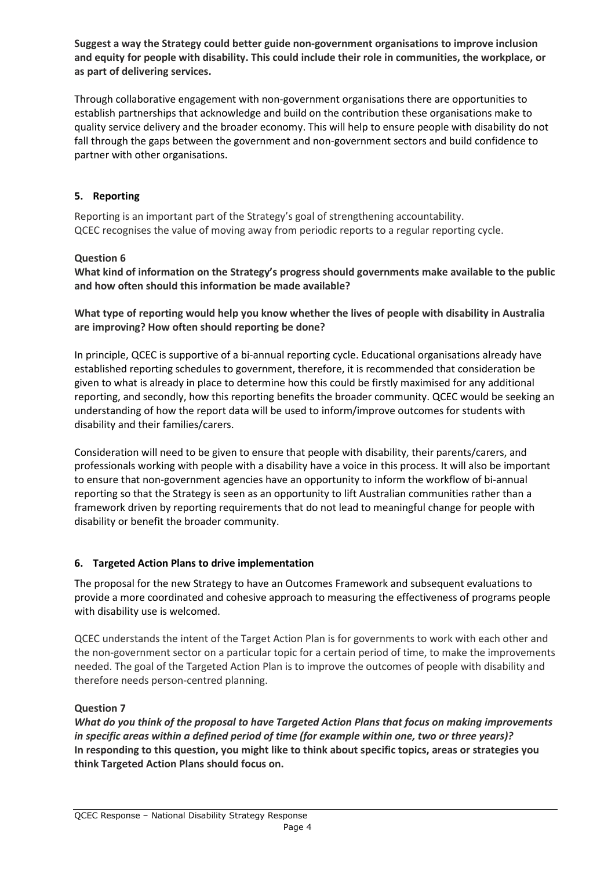**Suggest a way the Strategy could better guide non-government organisations to improve inclusion and equity for people with disability. This could include their role in communities, the workplace, or as part of delivering services.**

Through collaborative engagement with non-government organisations there are opportunities to establish partnerships that acknowledge and build on the contribution these organisations make to quality service delivery and the broader economy. This will help to ensure people with disability do not fall through the gaps between the government and non-government sectors and build confidence to partner with other organisations.

## **5. Reporting**

Reporting is an important part of the Strategy's goal of strengthening accountability. QCEC recognises the value of moving away from periodic reports to a regular reporting cycle.

## **Question 6**

**What kind of information on the Strategy's progress should governments make available to the public and how often should this information be made available?**

**What type of reporting would help you know whether the lives of people with disability in Australia are improving? How often should reporting be done?**

In principle, QCEC is supportive of a bi-annual reporting cycle. Educational organisations already have established reporting schedules to government, therefore, it is recommended that consideration be given to what is already in place to determine how this could be firstly maximised for any additional reporting, and secondly, how this reporting benefits the broader community. QCEC would be seeking an understanding of how the report data will be used to inform/improve outcomes for students with disability and their families/carers.

Consideration will need to be given to ensure that people with disability, their parents/carers, and professionals working with people with a disability have a voice in this process. It will also be important to ensure that non-government agencies have an opportunity to inform the workflow of bi-annual reporting so that the Strategy is seen as an opportunity to lift Australian communities rather than a framework driven by reporting requirements that do not lead to meaningful change for people with disability or benefit the broader community.

## **6. Targeted Action Plans to drive implementation**

The proposal for the new Strategy to have an Outcomes Framework and subsequent evaluations to provide a more coordinated and cohesive approach to measuring the effectiveness of programs people with disability use is welcomed.

QCEC understands the intent of the Target Action Plan is for governments to work with each other and the non-government sector on a particular topic for a certain period of time, to make the improvements needed. The goal of the Targeted Action Plan is to improve the outcomes of people with disability and therefore needs person-centred planning.

## **Question 7**

*What do you think of the proposal to have Targeted Action Plans that focus on making improvements in specific areas within a defined period of time (for example within one, two or three years)?* **In responding to this question, you might like to think about specific topics, areas or strategies you think Targeted Action Plans should focus on.**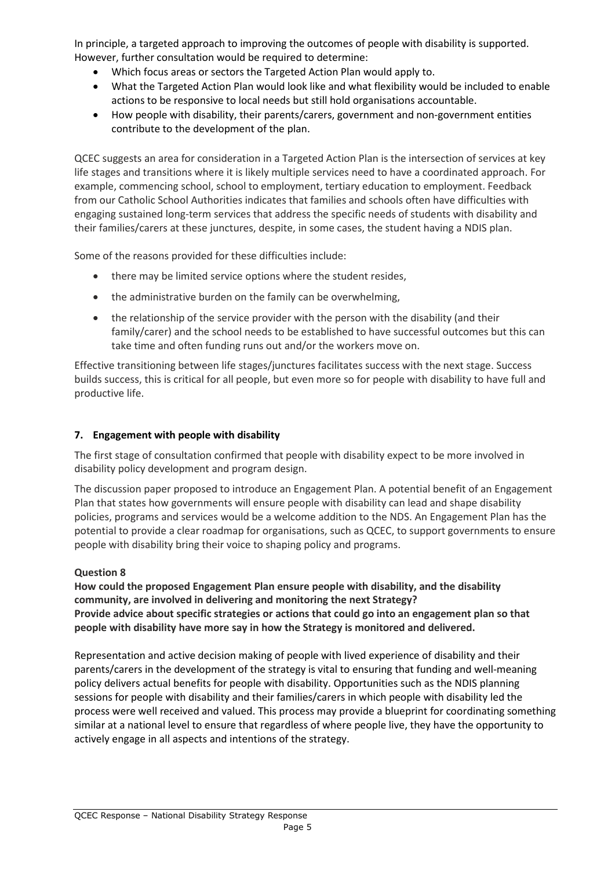In principle, a targeted approach to improving the outcomes of people with disability is supported. However, further consultation would be required to determine:

- Which focus areas or sectors the Targeted Action Plan would apply to.
- What the Targeted Action Plan would look like and what flexibility would be included to enable actions to be responsive to local needs but still hold organisations accountable.
- How people with disability, their parents/carers, government and non-government entities contribute to the development of the plan.

QCEC suggests an area for consideration in a Targeted Action Plan is the intersection of services at key life stages and transitions where it is likely multiple services need to have a coordinated approach. For example, commencing school, school to employment, tertiary education to employment. Feedback from our Catholic School Authorities indicates that families and schools often have difficulties with engaging sustained long-term services that address the specific needs of students with disability and their families/carers at these junctures, despite, in some cases, the student having a NDIS plan.

Some of the reasons provided for these difficulties include:

- there may be limited service options where the student resides,
- the administrative burden on the family can be overwhelming,
- the relationship of the service provider with the person with the disability (and their family/carer) and the school needs to be established to have successful outcomes but this can take time and often funding runs out and/or the workers move on.

Effective transitioning between life stages/junctures facilitates success with the next stage. Success builds success, this is critical for all people, but even more so for people with disability to have full and productive life.

## **7. Engagement with people with disability**

The first stage of consultation confirmed that people with disability expect to be more involved in disability policy development and program design.

The discussion paper proposed to introduce an Engagement Plan. A potential benefit of an Engagement Plan that states how governments will ensure people with disability can lead and shape disability policies, programs and services would be a welcome addition to the NDS. An Engagement Plan has the potential to provide a clear roadmap for organisations, such as QCEC, to support governments to ensure people with disability bring their voice to shaping policy and programs.

## **Question 8**

**How could the proposed Engagement Plan ensure people with disability, and the disability community, are involved in delivering and monitoring the next Strategy? Provide advice about specific strategies or actions that could go into an engagement plan so that people with disability have more say in how the Strategy is monitored and delivered.**

Representation and active decision making of people with lived experience of disability and their parents/carers in the development of the strategy is vital to ensuring that funding and well-meaning policy delivers actual benefits for people with disability. Opportunities such as the NDIS planning sessions for people with disability and their families/carers in which people with disability led the process were well received and valued. This process may provide a blueprint for coordinating something similar at a national level to ensure that regardless of where people live, they have the opportunity to actively engage in all aspects and intentions of the strategy.